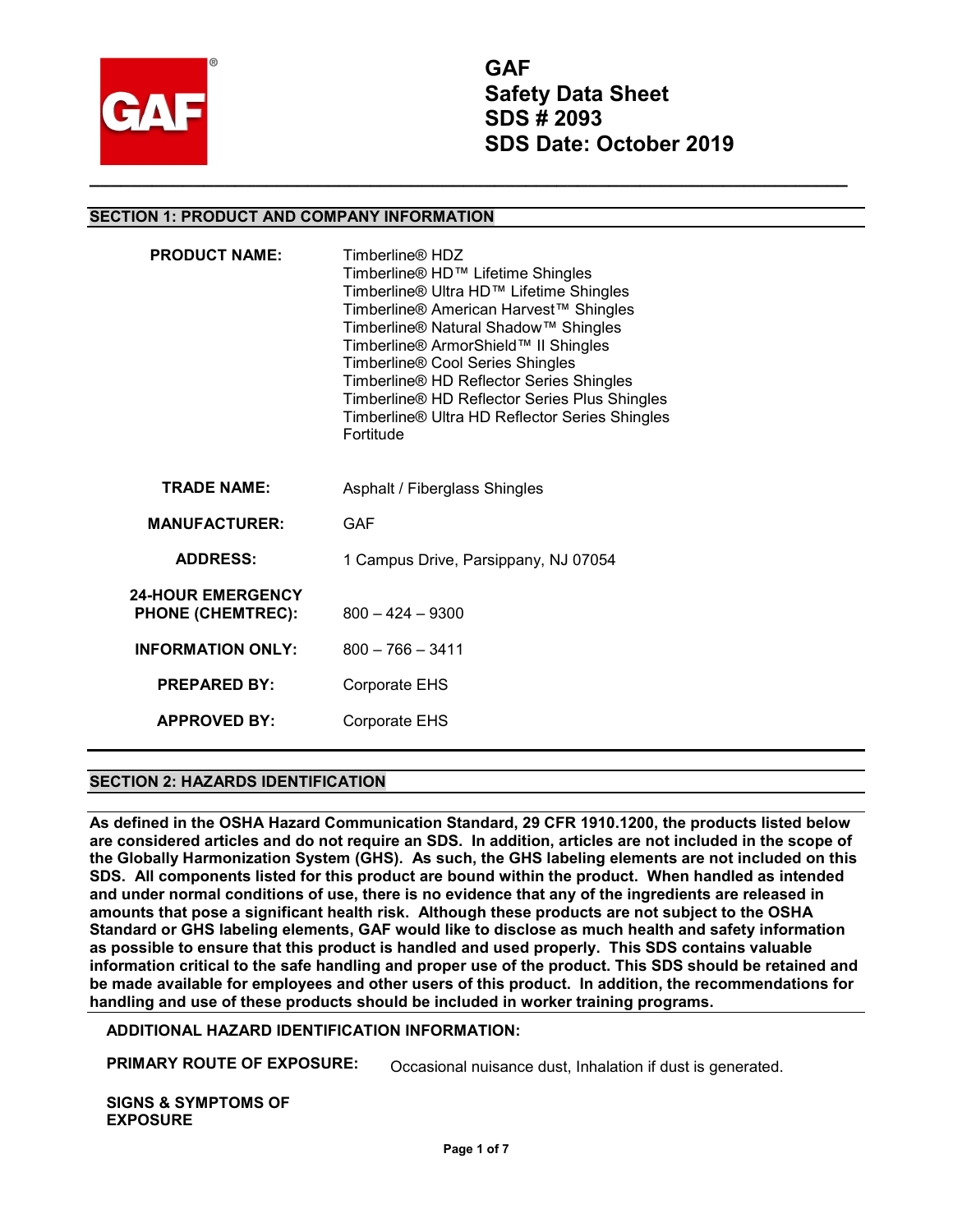

**GAF Safety Data Sheet SDS # 2093 SDS Date: October 2019**

## **SECTION 1: PRODUCT AND COMPANY INFORMATION**

| <b>PRODUCT NAME:</b>                                 | Timberline <sup>®</sup> HDZ<br>Timberline® HD™ Lifetime Shingles<br>Timberline® Ultra HD™ Lifetime Shingles<br>Timberline® American Harvest™ Shingles<br>Timberline® Natural Shadow™ Shingles<br>Timberline® ArmorShield™ II Shingles<br>Timberline® Cool Series Shingles<br>Timberline® HD Reflector Series Shingles<br>Timberline® HD Reflector Series Plus Shingles<br>Timberline® Ultra HD Reflector Series Shingles<br>Fortitude |
|------------------------------------------------------|---------------------------------------------------------------------------------------------------------------------------------------------------------------------------------------------------------------------------------------------------------------------------------------------------------------------------------------------------------------------------------------------------------------------------------------|
| <b>TRADE NAME:</b>                                   | Asphalt / Fiberglass Shingles                                                                                                                                                                                                                                                                                                                                                                                                         |
| <b>MANUFACTURER:</b>                                 | GAF                                                                                                                                                                                                                                                                                                                                                                                                                                   |
| <b>ADDRESS:</b>                                      | 1 Campus Drive, Parsippany, NJ 07054                                                                                                                                                                                                                                                                                                                                                                                                  |
| <b>24-HOUR EMERGENCY</b><br><b>PHONE (CHEMTREC):</b> | $800 - 424 - 9300$                                                                                                                                                                                                                                                                                                                                                                                                                    |
| <b>INFORMATION ONLY:</b>                             | $800 - 766 - 3411$                                                                                                                                                                                                                                                                                                                                                                                                                    |
| <b>PREPARED BY:</b>                                  | Corporate EHS                                                                                                                                                                                                                                                                                                                                                                                                                         |
| <b>APPROVED BY:</b>                                  | Corporate EHS                                                                                                                                                                                                                                                                                                                                                                                                                         |

### **SECTION 2: HAZARDS IDENTIFICATION**

**As defined in the OSHA Hazard Communication Standard, 29 CFR 1910.1200, the products listed below are considered articles and do not require an SDS. In addition, articles are not included in the scope of the Globally Harmonization System (GHS). As such, the GHS labeling elements are not included on this SDS. All components listed for this product are bound within the product. When handled as intended and under normal conditions of use, there is no evidence that any of the ingredients are released in amounts that pose a significant health risk. Although these products are not subject to the OSHA Standard or GHS labeling elements, GAF would like to disclose as much health and safety information as possible to ensure that this product is handled and used properly. This SDS contains valuable information critical to the safe handling and proper use of the product. This SDS should be retained and be made available for employees and other users of this product. In addition, the recommendations for handling and use of these products should be included in worker training programs.** 

### **ADDITIONAL HAZARD IDENTIFICATION INFORMATION:**

**PRIMARY ROUTE OF EXPOSURE:** Occasional nuisance dust, Inhalation if dust is generated.

**SIGNS & SYMPTOMS OF EXPOSURE**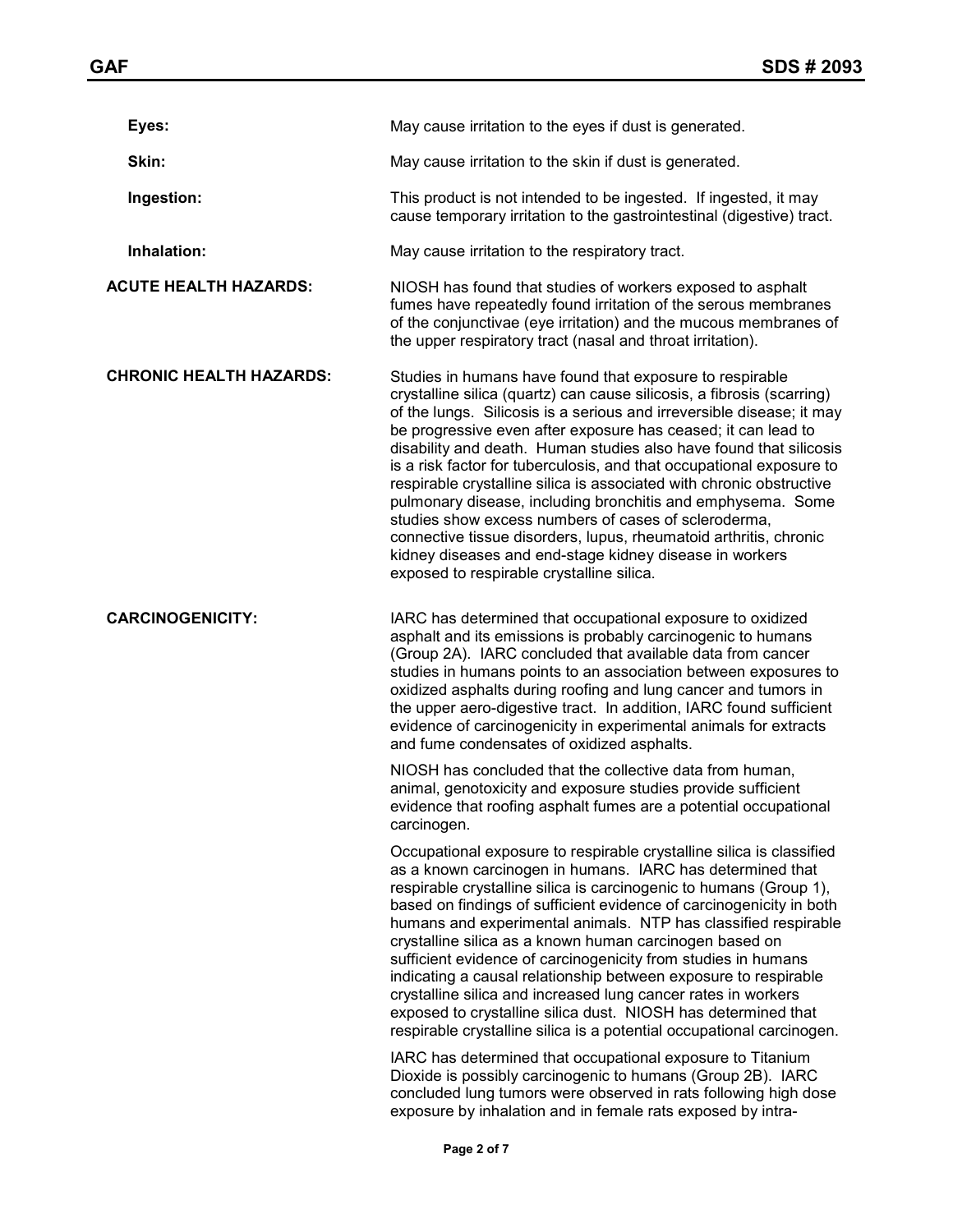| Eyes:                          | May cause irritation to the eyes if dust is generated.                                                                                                                                                                                                                                                                                                                                                                                                                                                                                                                                                                                                                                                                                                                                                                                                                                  |
|--------------------------------|-----------------------------------------------------------------------------------------------------------------------------------------------------------------------------------------------------------------------------------------------------------------------------------------------------------------------------------------------------------------------------------------------------------------------------------------------------------------------------------------------------------------------------------------------------------------------------------------------------------------------------------------------------------------------------------------------------------------------------------------------------------------------------------------------------------------------------------------------------------------------------------------|
| Skin:                          | May cause irritation to the skin if dust is generated.                                                                                                                                                                                                                                                                                                                                                                                                                                                                                                                                                                                                                                                                                                                                                                                                                                  |
| Ingestion:                     | This product is not intended to be ingested. If ingested, it may<br>cause temporary irritation to the gastrointestinal (digestive) tract.                                                                                                                                                                                                                                                                                                                                                                                                                                                                                                                                                                                                                                                                                                                                               |
| Inhalation:                    | May cause irritation to the respiratory tract.                                                                                                                                                                                                                                                                                                                                                                                                                                                                                                                                                                                                                                                                                                                                                                                                                                          |
| <b>ACUTE HEALTH HAZARDS:</b>   | NIOSH has found that studies of workers exposed to asphalt<br>fumes have repeatedly found irritation of the serous membranes<br>of the conjunctivae (eye irritation) and the mucous membranes of<br>the upper respiratory tract (nasal and throat irritation).                                                                                                                                                                                                                                                                                                                                                                                                                                                                                                                                                                                                                          |
| <b>CHRONIC HEALTH HAZARDS:</b> | Studies in humans have found that exposure to respirable<br>crystalline silica (quartz) can cause silicosis, a fibrosis (scarring)<br>of the lungs. Silicosis is a serious and irreversible disease; it may<br>be progressive even after exposure has ceased; it can lead to<br>disability and death. Human studies also have found that silicosis<br>is a risk factor for tuberculosis, and that occupational exposure to<br>respirable crystalline silica is associated with chronic obstructive<br>pulmonary disease, including bronchitis and emphysema. Some<br>studies show excess numbers of cases of scleroderma,<br>connective tissue disorders, lupus, rheumatoid arthritis, chronic<br>kidney diseases and end-stage kidney disease in workers<br>exposed to respirable crystalline silica.                                                                                  |
| <b>CARCINOGENICITY:</b>        | IARC has determined that occupational exposure to oxidized<br>asphalt and its emissions is probably carcinogenic to humans<br>(Group 2A). IARC concluded that available data from cancer<br>studies in humans points to an association between exposures to<br>oxidized asphalts during roofing and lung cancer and tumors in<br>the upper aero-digestive tract. In addition, IARC found sufficient<br>evidence of carcinogenicity in experimental animals for extracts<br>and fume condensates of oxidized asphalts.                                                                                                                                                                                                                                                                                                                                                                   |
|                                | NIOSH has concluded that the collective data from human,<br>animal, genotoxicity and exposure studies provide sufficient<br>evidence that roofing asphalt fumes are a potential occupational<br>carcinogen.                                                                                                                                                                                                                                                                                                                                                                                                                                                                                                                                                                                                                                                                             |
|                                | Occupational exposure to respirable crystalline silica is classified<br>as a known carcinogen in humans. IARC has determined that<br>respirable crystalline silica is carcinogenic to humans (Group 1),<br>based on findings of sufficient evidence of carcinogenicity in both<br>humans and experimental animals. NTP has classified respirable<br>crystalline silica as a known human carcinogen based on<br>sufficient evidence of carcinogenicity from studies in humans<br>indicating a causal relationship between exposure to respirable<br>crystalline silica and increased lung cancer rates in workers<br>exposed to crystalline silica dust. NIOSH has determined that<br>respirable crystalline silica is a potential occupational carcinogen.<br>IARC has determined that occupational exposure to Titanium<br>Dioxide is possibly carcinogenic to humans (Group 2B). IARC |
|                                | concluded lung tumors were observed in rats following high dose<br>exposure by inhalation and in female rats exposed by intra-                                                                                                                                                                                                                                                                                                                                                                                                                                                                                                                                                                                                                                                                                                                                                          |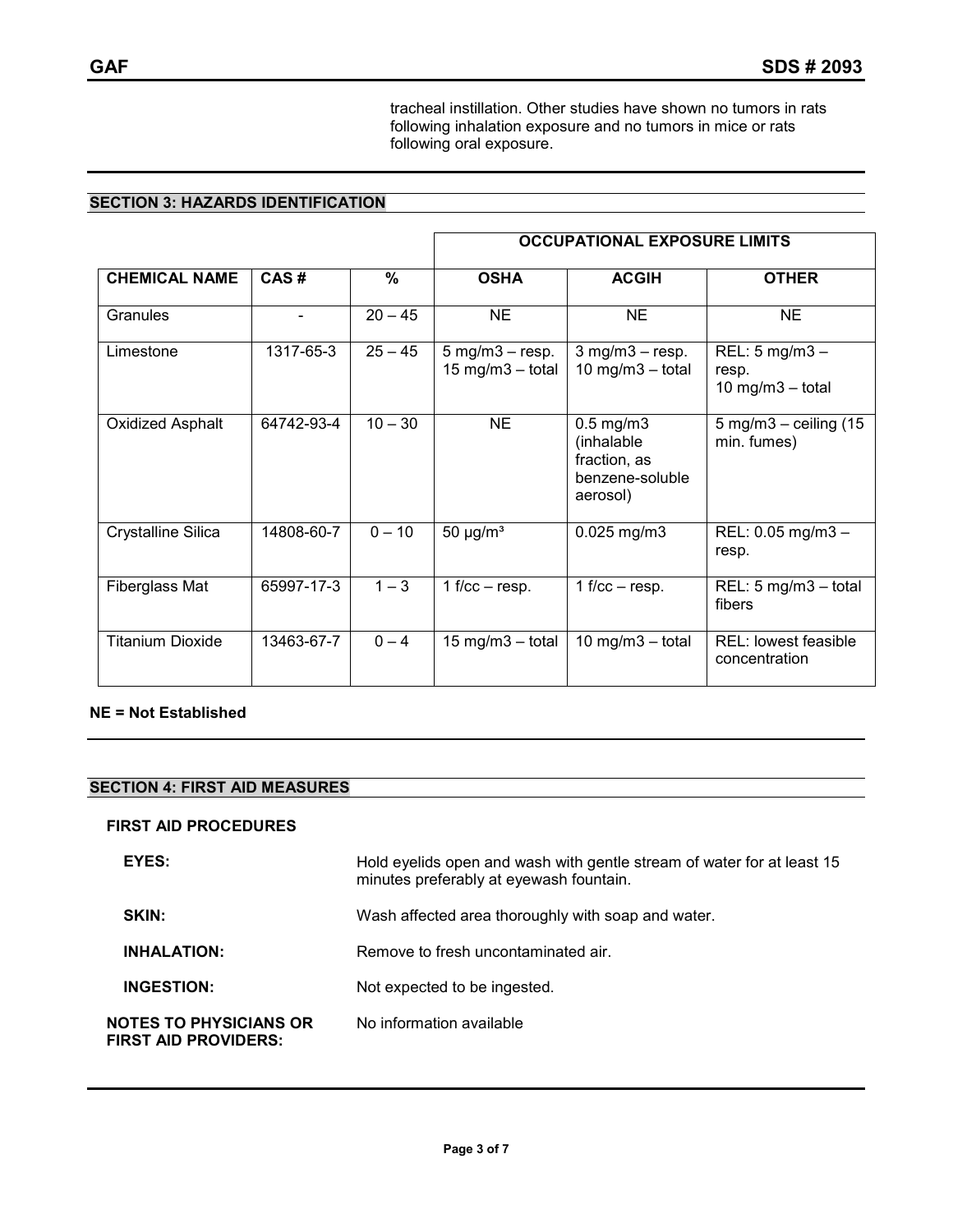tracheal instillation. Other studies have shown no tumors in rats following inhalation exposure and no tumors in mice or rats following oral exposure.

# **SECTION 3: HAZARDS IDENTIFICATION**

|                         |                          |           | <b>OCCUPATIONAL EXPOSURE LIMITS</b>                                         |                                                                             |                                                            |  |
|-------------------------|--------------------------|-----------|-----------------------------------------------------------------------------|-----------------------------------------------------------------------------|------------------------------------------------------------|--|
| <b>CHEMICAL NAME</b>    | CAS#                     | $\%$      | <b>OSHA</b>                                                                 | <b>ACGIH</b>                                                                | <b>OTHER</b>                                               |  |
| Granules                | $\overline{\phantom{a}}$ | $20 - 45$ | <b>NE</b>                                                                   | <b>NE</b>                                                                   | <b>NE</b>                                                  |  |
| Limestone               | 1317-65-3                | $25 - 45$ | $5 \text{ mg/m}$ $3 - \text{resp.}$<br>$15 \text{ mg/m}$ $3 - \text{total}$ | $3$ mg/m $3$ – resp.<br>10 mg/m $3$ – total                                 | REL: $5 \text{ mg/m}3 -$<br>resp.<br>$10$ mg/m $3$ - total |  |
| <b>Oxidized Asphalt</b> | 64742-93-4               | $10 - 30$ | <b>NE</b>                                                                   | $0.5$ mg/m $3$<br>(inhalable<br>fraction, as<br>benzene-soluble<br>aerosol) | $5$ mg/m $3$ – ceiling (15<br>min. fumes)                  |  |
| Crystalline Silica      | 14808-60-7               | $0 - 10$  | 50 $\mu$ g/m <sup>3</sup>                                                   | $0.025$ mg/m3                                                               | REL: 0.05 mg/m3 -<br>resp.                                 |  |
| Fiberglass Mat          | 65997-17-3               | $1 - 3$   | 1 f/cc $-$ resp.                                                            | 1 f/cc $-$ resp.                                                            | REL: $5 \text{ mg/m}3 - \text{total}$<br>fibers            |  |
| <b>Titanium Dioxide</b> | 13463-67-7               | $0 - 4$   | $15 \text{ mg/m}$ $-$ total                                                 | $10$ mg/m $3$ - total                                                       | <b>REL:</b> lowest feasible<br>concentration               |  |

## **NE = Not Established**

# **SECTION 4: FIRST AID MEASURES**

#### **FIRST AID PROCEDURES**

| EYES:                                                        | Hold eyelids open and wash with gentle stream of water for at least 15<br>minutes preferably at eyewash fountain. |
|--------------------------------------------------------------|-------------------------------------------------------------------------------------------------------------------|
| <b>SKIN:</b>                                                 | Wash affected area thoroughly with soap and water.                                                                |
| <b>INHALATION:</b>                                           | Remove to fresh uncontaminated air.                                                                               |
| <b>INGESTION:</b>                                            | Not expected to be ingested.                                                                                      |
| <b>NOTES TO PHYSICIANS OR</b><br><b>FIRST AID PROVIDERS:</b> | No information available                                                                                          |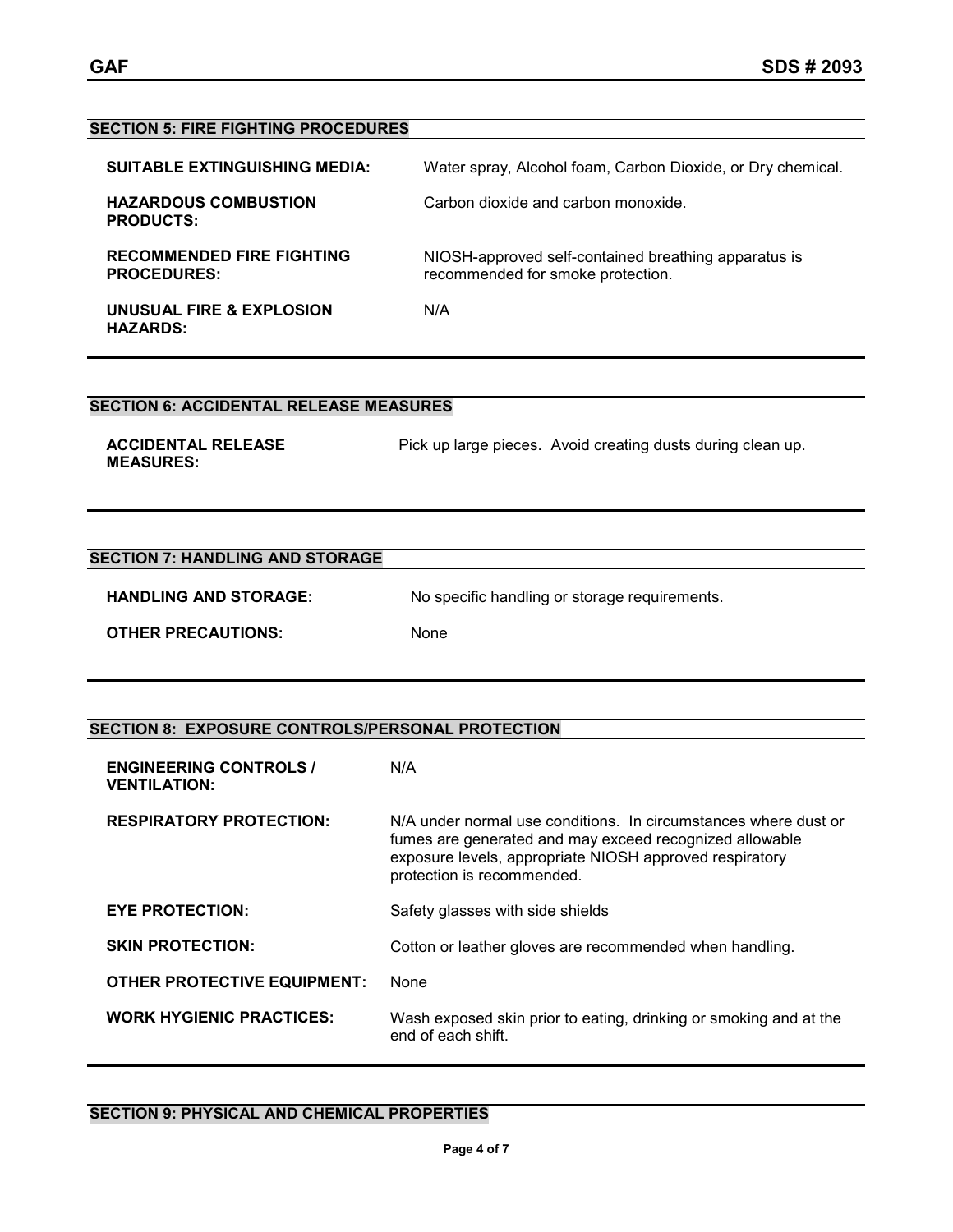# **SECTION 5: FIRE FIGHTING PROCEDURES SUITABLE EXTINGUISHING MEDIA:** Water spray, Alcohol foam, Carbon Dioxide, or Dry chemical. **HAZARDOUS COMBUSTION PRODUCTS:** Carbon dioxide and carbon monoxide.

**RECOMMENDED FIRE FIGHTING PROCEDURES:** NIOSH-approved self-contained breathing apparatus is recommended for smoke protection. **UNUSUAL FIRE & EXPLOSION HAZARDS:** N/A

# **SECTION 6: ACCIDENTAL RELEASE MEASURES**

**ACCIDENTAL RELEASE MEASURES:**

Pick up large pieces. Avoid creating dusts during clean up.

# **SECTION 7: HANDLING AND STORAGE**

HANDLING AND STORAGE: No specific handling or storage requirements.

**OTHER PRECAUTIONS:** None

# **SECTION 8: EXPOSURE CONTROLS/PERSONAL PROTECTION**

| <b>ENGINEERING CONTROLS /</b><br><b>VENTILATION:</b> | N/A                                                                                                                                                                                                                 |
|------------------------------------------------------|---------------------------------------------------------------------------------------------------------------------------------------------------------------------------------------------------------------------|
| <b>RESPIRATORY PROTECTION:</b>                       | N/A under normal use conditions. In circumstances where dust or<br>fumes are generated and may exceed recognized allowable<br>exposure levels, appropriate NIOSH approved respiratory<br>protection is recommended. |
| <b>EYE PROTECTION:</b>                               | Safety glasses with side shields                                                                                                                                                                                    |
| <b>SKIN PROTECTION:</b>                              | Cotton or leather gloves are recommended when handling.                                                                                                                                                             |
| <b>OTHER PROTECTIVE EQUIPMENT:</b>                   | None                                                                                                                                                                                                                |
| <b>WORK HYGIENIC PRACTICES:</b>                      | Wash exposed skin prior to eating, drinking or smoking and at the<br>end of each shift.                                                                                                                             |

# **SECTION 9: PHYSICAL AND CHEMICAL PROPERTIES**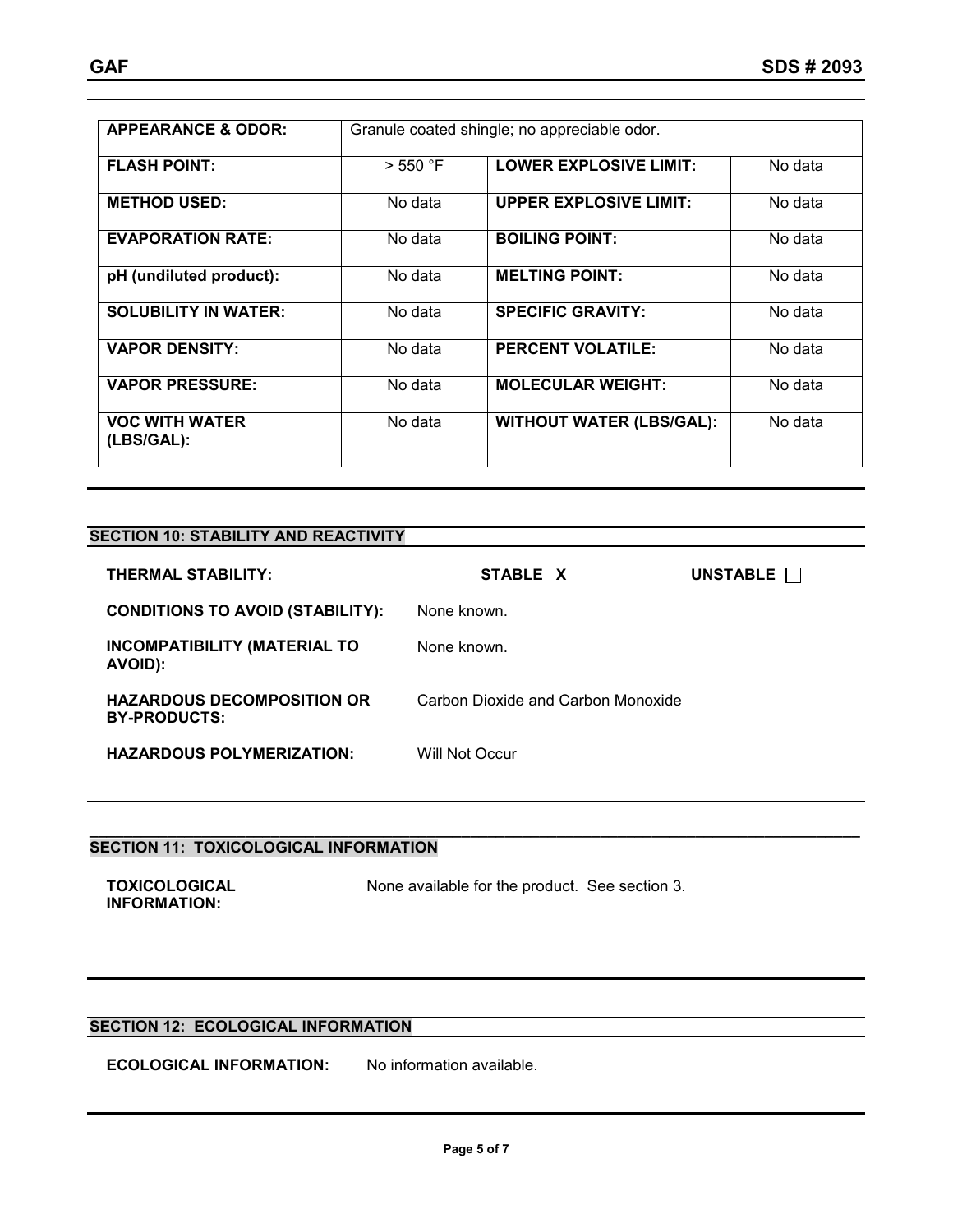| <b>APPEARANCE &amp; ODOR:</b>       |          | Granule coated shingle; no appreciable odor. |         |
|-------------------------------------|----------|----------------------------------------------|---------|
| <b>FLASH POINT:</b>                 | > 550 °F | <b>LOWER EXPLOSIVE LIMIT:</b>                | No data |
| <b>METHOD USED:</b>                 | No data  | <b>UPPER EXPLOSIVE LIMIT:</b>                | No data |
| <b>EVAPORATION RATE:</b>            | No data  | <b>BOILING POINT:</b>                        | No data |
| pH (undiluted product):             | No data  | <b>MELTING POINT:</b>                        | No data |
| <b>SOLUBILITY IN WATER:</b>         | No data  | <b>SPECIFIC GRAVITY:</b>                     | No data |
| <b>VAPOR DENSITY:</b>               | No data  | <b>PERCENT VOLATILE:</b>                     | No data |
| <b>VAPOR PRESSURE:</b>              | No data  | <b>MOLECULAR WEIGHT:</b>                     | No data |
| <b>VOC WITH WATER</b><br>(LBS/GAL): | No data  | <b>WITHOUT WATER (LBS/GAL):</b>              | No data |

# **SECTION 10: STABILITY AND REACTIVITY**

| <b>THERMAL STABILITY:</b>                                | STABLE X                           | UNSTABLE |
|----------------------------------------------------------|------------------------------------|----------|
| <b>CONDITIONS TO AVOID (STABILITY):</b>                  | None known.                        |          |
| <b>INCOMPATIBILITY (MATERIAL TO</b><br>AVOID):           | None known.                        |          |
| <b>HAZARDOUS DECOMPOSITION OR</b><br><b>BY-PRODUCTS:</b> | Carbon Dioxide and Carbon Monoxide |          |
| <b>HAZARDOUS POLYMERIZATION:</b>                         | Will Not Occur                     |          |

**\_\_\_\_\_\_\_\_\_\_\_\_\_\_\_\_\_\_\_\_\_\_\_\_\_\_\_\_\_\_\_\_\_\_\_\_\_\_\_\_\_\_\_\_\_\_\_\_\_\_\_\_\_\_\_\_\_\_\_\_\_\_\_\_\_\_\_\_\_\_\_\_\_\_\_\_\_\_\_\_\_\_\_\_\_\_\_\_\_**

#### **SECTION 11: TOXICOLOGICAL INFORMATION**

| TOXICOLOGICAL       | None available for the product. See section 3. |  |
|---------------------|------------------------------------------------|--|
| <b>INFORMATION:</b> |                                                |  |

# **SECTION 12: ECOLOGICAL INFORMATION**

**ECOLOGICAL INFORMATION:** No information available.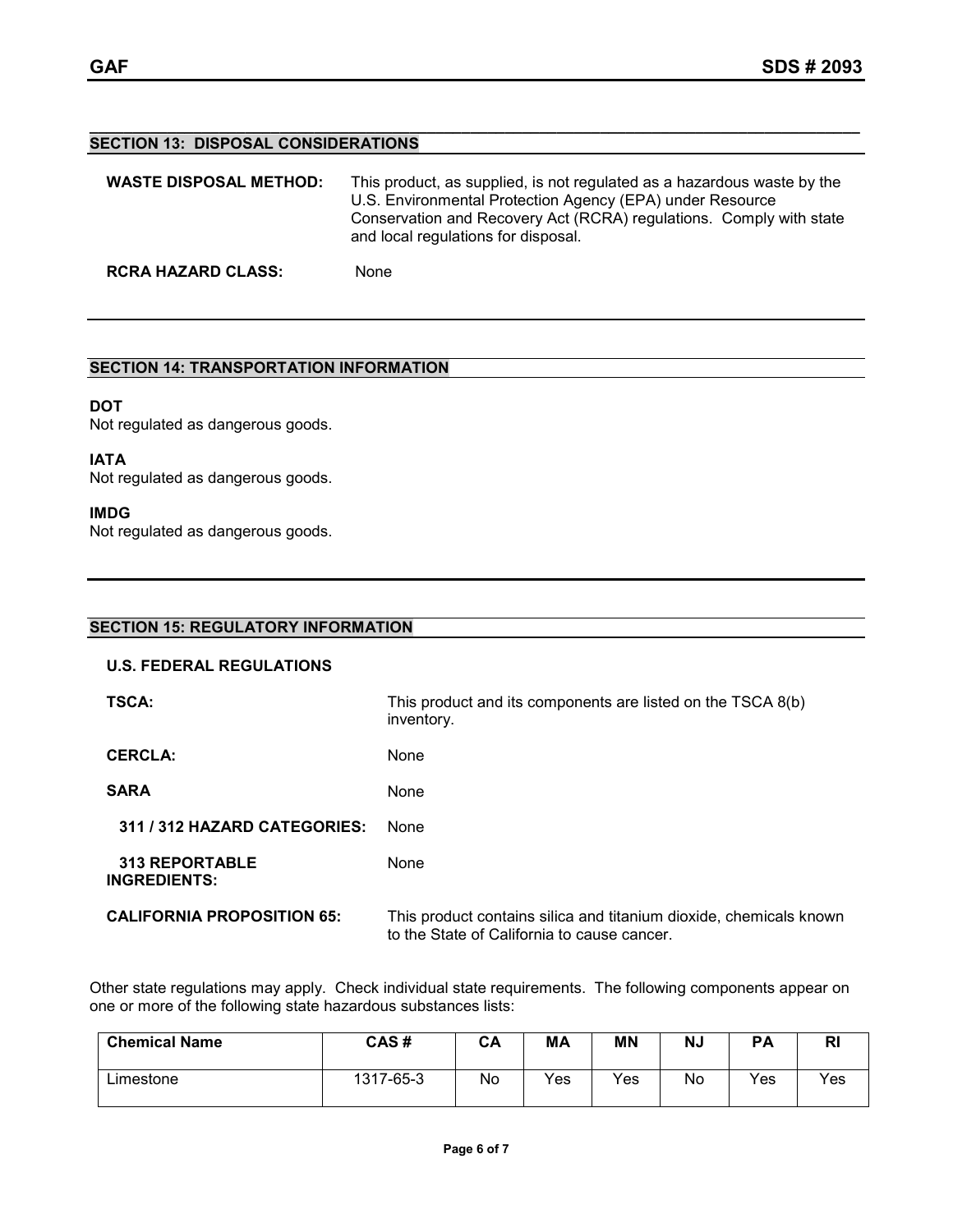#### **\_\_\_\_\_\_\_\_\_\_\_\_\_\_\_\_\_\_\_\_\_\_\_\_\_\_\_\_\_\_\_\_\_\_\_\_\_\_\_\_\_\_\_\_\_\_\_\_\_\_\_\_\_\_\_\_\_\_\_\_\_\_\_\_\_\_\_\_\_\_\_\_\_\_\_\_\_\_\_\_\_\_\_\_\_\_\_\_\_ SECTION 13: DISPOSAL CONSIDERATIONS**

| <b>WASTE DISPOSAL METHOD:</b> | This product, as supplied, is not regulated as a hazardous waste by the<br>U.S. Environmental Protection Agency (EPA) under Resource<br>Conservation and Recovery Act (RCRA) regulations. Comply with state<br>and local regulations for disposal. |
|-------------------------------|----------------------------------------------------------------------------------------------------------------------------------------------------------------------------------------------------------------------------------------------------|
| <b>RCRA HAZARD CLASS:</b>     | None                                                                                                                                                                                                                                               |

# **SECTION 14: TRANSPORTATION INFORMATION**

### **DOT**

Not regulated as dangerous goods.

**IATA** Not regulated as dangerous goods.

### **IMDG**

Not regulated as dangerous goods.

# **SECTION 15: REGULATORY INFORMATION U.S. FEDERAL REGULATIONS TSCA:** THIS product and its components are listed on the TSCA 8(b) inventory. CERCLA: None SARA None  **311 / 312 HAZARD CATEGORIES:** None  **313 REPORTABLE INGREDIENTS:** None **CALIFORNIA PROPOSITION 65:** This product contains silica and titanium dioxide, chemicals known to the State of California to cause cancer.

Other state regulations may apply. Check individual state requirements. The following components appear on one or more of the following state hazardous substances lists:

| <b>Chemical Name</b> | CAS#      | CА | MA  | MN  | <b>NJ</b> | PA  | NI  |
|----------------------|-----------|----|-----|-----|-----------|-----|-----|
| $L$ imestone         | 1317-65-3 | No | Yes | Yes | No        | Yes | Yes |